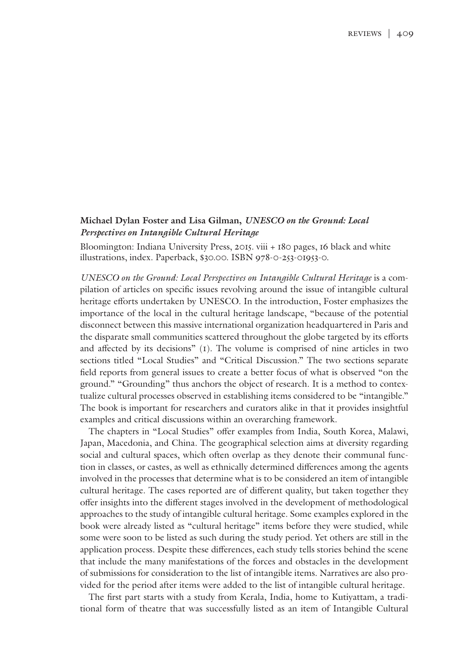## **Michael Dylan Foster and Lisa Gilman,** *UNESCO on the Ground: Local Perspectives on Intangible Cultural Heritage*

Bloomington: Indiana University Press, 2015. viii + 180 pages, 16 black and white illustrations, index. Paperback, \$30.00. ISBN 978-0-253-01953-0.

*UNESCO on the Ground: Local Perspectives on Intangible Cultural Heritage* is a compilation of articles on specific issues revolving around the issue of intangible cultural heritage efforts undertaken by UNESCO. In the introduction, Foster emphasizes the importance of the local in the cultural heritage landscape, "because of the potential disconnect between this massive international organization headquartered in Paris and the disparate small communities scattered throughout the globe targeted by its efforts and affected by its decisions" (1). The volume is comprised of nine articles in two sections titled "Local Studies" and "Critical Discussion." The two sections separate field reports from general issues to create a better focus of what is observed "on the ground." "Grounding" thus anchors the object of research. It is a method to contextualize cultural processes observed in establishing items considered to be "intangible." The book is important for researchers and curators alike in that it provides insightful examples and critical discussions within an overarching framework.

The chapters in "Local Studies" offer examples from India, South Korea, Malawi, Japan, Macedonia, and China. The geographical selection aims at diversity regarding social and cultural spaces, which often overlap as they denote their communal function in classes, or castes, as well as ethnically determined differences among the agents involved in the processes that determine what is to be considered an item of intangible cultural heritage. The cases reported are of different quality, but taken together they offer insights into the different stages involved in the development of methodological approaches to the study of intangible cultural heritage. Some examples explored in the book were already listed as "cultural heritage" items before they were studied, while some were soon to be listed as such during the study period. Yet others are still in the application process. Despite these differences, each study tells stories behind the scene that include the many manifestations of the forces and obstacles in the development of submissions for consideration to the list of intangible items. Narratives are also provided for the period after items were added to the list of intangible cultural heritage.

The first part starts with a study from Kerala, India, home to Kutiyattam, a traditional form of theatre that was successfully listed as an item of Intangible Cultural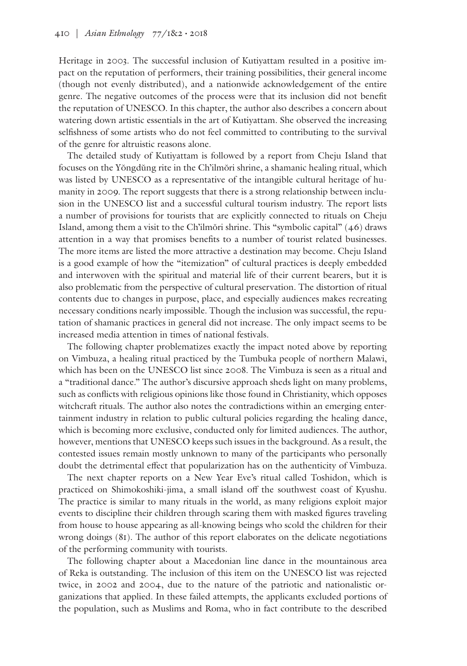Heritage in 2003. The successful inclusion of Kutiyattam resulted in a positive impact on the reputation of performers, their training possibilities, their general income (though not evenly distributed), and a nationwide acknowledgement of the entire genre. The negative outcomes of the process were that its inclusion did not benefit the reputation of UNESCO. In this chapter, the author also describes a concern about watering down artistic essentials in the art of Kutiyattam. She observed the increasing selfishness of some artists who do not feel committed to contributing to the survival of the genre for altruistic reasons alone.

The detailed study of Kutiyattam is followed by a report from Cheju Island that focuses on the Yŏngdŭng rite in the Ch'ilmŏri shrine, a shamanic healing ritual, which was listed by UNESCO as a representative of the intangible cultural heritage of humanity in 2009. The report suggests that there is a strong relationship between inclusion in the UNESCO list and a successful cultural tourism industry. The report lists a number of provisions for tourists that are explicitly connected to rituals on Cheju Island, among them a visit to the Ch'ilmŏri shrine. This "symbolic capital" (46) draws attention in a way that promises benefits to a number of tourist related businesses. The more items are listed the more attractive a destination may become. Cheju Island is a good example of how the "itemization" of cultural practices is deeply embedded and interwoven with the spiritual and material life of their current bearers, but it is also problematic from the perspective of cultural preservation. The distortion of ritual contents due to changes in purpose, place, and especially audiences makes recreating necessary conditions nearly impossible. Though the inclusion was successful, the reputation of shamanic practices in general did not increase. The only impact seems to be increased media attention in times of national festivals.

The following chapter problematizes exactly the impact noted above by reporting on Vimbuza, a healing ritual practiced by the Tumbuka people of northern Malawi, which has been on the UNESCO list since 2008. The Vimbuza is seen as a ritual and a "traditional dance." The author's discursive approach sheds light on many problems, such as conflicts with religious opinions like those found in Christianity, which opposes witchcraft rituals. The author also notes the contradictions within an emerging entertainment industry in relation to public cultural policies regarding the healing dance, which is becoming more exclusive, conducted only for limited audiences. The author, however, mentions that UNESCO keeps such issues in the background. As a result, the contested issues remain mostly unknown to many of the participants who personally doubt the detrimental effect that popularization has on the authenticity of Vimbuza.

The next chapter reports on a New Year Eve's ritual called Toshidon, which is practiced on Shimokoshiki-jima, a small island off the southwest coast of Kyushu. The practice is similar to many rituals in the world, as many religions exploit major events to discipline their children through scaring them with masked figures traveling from house to house appearing as all-knowing beings who scold the children for their wrong doings (81). The author of this report elaborates on the delicate negotiations of the performing community with tourists.

The following chapter about a Macedonian line dance in the mountainous area of Reka is outstanding. The inclusion of this item on the UNESCO list was rejected twice, in 2002 and 2004, due to the nature of the patriotic and nationalistic organizations that applied. In these failed attempts, the applicants excluded portions of the population, such as Muslims and Roma, who in fact contribute to the described